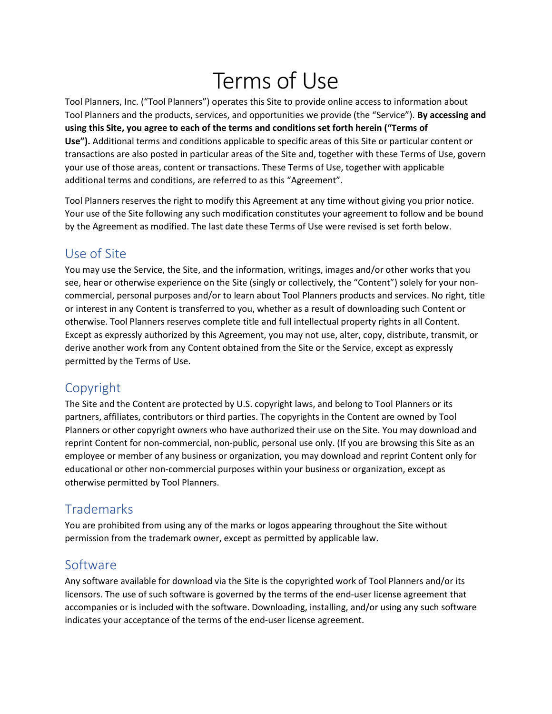# Terms of Use

Tool Planners, Inc. ("Tool Planners") operates this Site to provide online access to information about Tool Planners and the products, services, and opportunities we provide (the "Service"). By accessing and using this Site, you agree to each of the terms and conditions set forth herein ("Terms of Use"). Additional terms and conditions applicable to specific areas of this Site or particular content or transactions are also posted in particular areas of the Site and, together with these Terms of Use, govern your use of those areas, content or transactions. These Terms of Use, together with applicable additional terms and conditions, are referred to as this "Agreement".

Tool Planners reserves the right to modify this Agreement at any time without giving you prior notice. Your use of the Site following any such modification constitutes your agreement to follow and be bound by the Agreement as modified. The last date these Terms of Use were revised is set forth below.

#### Use of Site

You may use the Service, the Site, and the information, writings, images and/or other works that you see, hear or otherwise experience on the Site (singly or collectively, the "Content") solely for your noncommercial, personal purposes and/or to learn about Tool Planners products and services. No right, title or interest in any Content is transferred to you, whether as a result of downloading such Content or otherwise. Tool Planners reserves complete title and full intellectual property rights in all Content. Except as expressly authorized by this Agreement, you may not use, alter, copy, distribute, transmit, or derive another work from any Content obtained from the Site or the Service, except as expressly permitted by the Terms of Use.

## Copyright

The Site and the Content are protected by U.S. copyright laws, and belong to Tool Planners or its partners, affiliates, contributors or third parties. The copyrights in the Content are owned by Tool Planners or other copyright owners who have authorized their use on the Site. You may download and reprint Content for non-commercial, non-public, personal use only. (If you are browsing this Site as an employee or member of any business or organization, you may download and reprint Content only for educational or other non-commercial purposes within your business or organization, except as otherwise permitted by Tool Planners.

## Trademarks

You are prohibited from using any of the marks or logos appearing throughout the Site without permission from the trademark owner, except as permitted by applicable law.

## Software

Any software available for download via the Site is the copyrighted work of Tool Planners and/or its licensors. The use of such software is governed by the terms of the end-user license agreement that accompanies or is included with the software. Downloading, installing, and/or using any such software indicates your acceptance of the terms of the end-user license agreement.